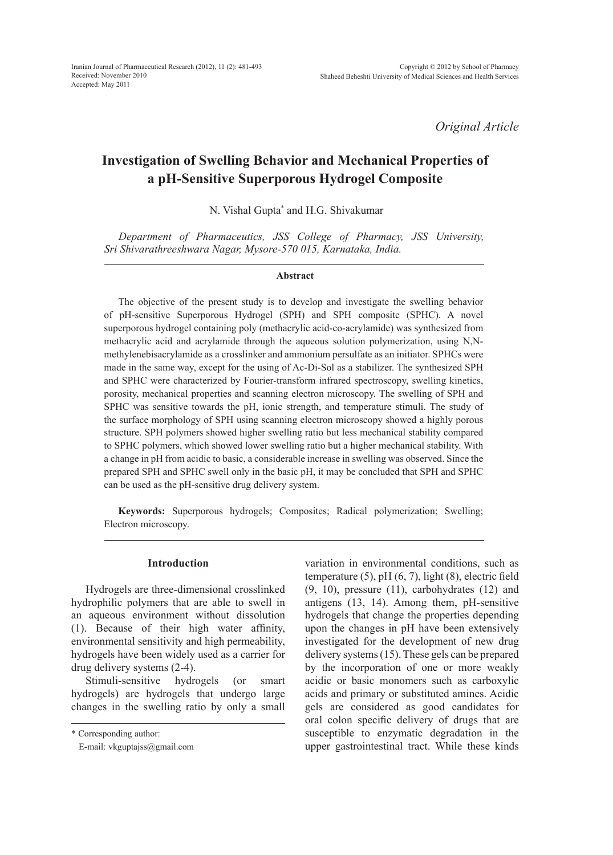*Original Article*

# **Investigation of Swelling Behavior and Mechanical Properties of a pH-Sensitive Superporous Hydrogel Composite**

N. Vishal Gupta\* and H.G. Shivakumar

*Department of Pharmaceutics, JSS College of Pharmacy, JSS University, Sri Shivarathreeshwara Nagar, Mysore-570 015, Karnataka, India.*

#### **Abstract**

The objective of the present study is to develop and investigate the swelling behavior of pH-sensitive Superporous Hydrogel (SPH) and SPH composite (SPHC). A novel superporous hydrogel containing poly (methacrylic acid-co-acrylamide) was synthesized from methacrylic acid and acrylamide through the aqueous solution polymerization, using N,Nmethylenebisacrylamide as a crosslinker and ammonium persulfate as an initiator. SPHCs were made in the same way, except for the using of Ac-Di-Sol as a stabilizer. The synthesized SPH and SPHC were characterized by Fourier-transform infrared spectroscopy, swelling kinetics, porosity, mechanical properties and scanning electron microscopy. The swelling of SPH and SPHC was sensitive towards the pH, ionic strength, and temperature stimuli. The study of the surface morphology of SPH using scanning electron microscopy showed a highly porous structure. SPH polymers showed higher swelling ratio but less mechanical stability compared to SPHC polymers, which showed lower swelling ratio but a higher mechanical stability. With a change in pH from acidic to basic, a considerable increase in swelling was observed. Since the prepared SPH and SPHC swell only in the basic pH, it may be concluded that SPH and SPHC can be used as the pH-sensitive drug delivery system.

**Keywords:** Superporous hydrogels; Composites; Radical polymerization; Swelling; Electron microscopy.

#### **Introduction**

Hydrogels are three-dimensional crosslinked hydrophilic polymers that are able to swell in an aqueous environment without dissolution (1). Because of their high water affinity, environmental sensitivity and high permeability, hydrogels have been widely used as a carrier for drug delivery systems (2-4).

Stimuli-sensitive hydrogels (or smart hydrogels) are hydrogels that undergo large changes in the swelling ratio by only a small variation in environmental conditions, such as temperature (5), pH (6, 7), light (8), electric field (9, 10), pressure (11), carbohydrates (12) and antigens (13, 14). Among them, pH-sensitive hydrogels that change the properties depending upon the changes in pH have been extensively investigated for the development of new drug delivery systems (15). These gels can be prepared by the incorporation of one or more weakly acidic or basic monomers such as carboxylic acids and primary or substituted amines. Acidic gels are considered as good candidates for oral colon specific delivery of drugs that are susceptible to enzymatic degradation in the upper gastrointestinal tract. While these kinds

<sup>\*</sup> Corresponding author:

E-mail: vkguptajss@gmail.com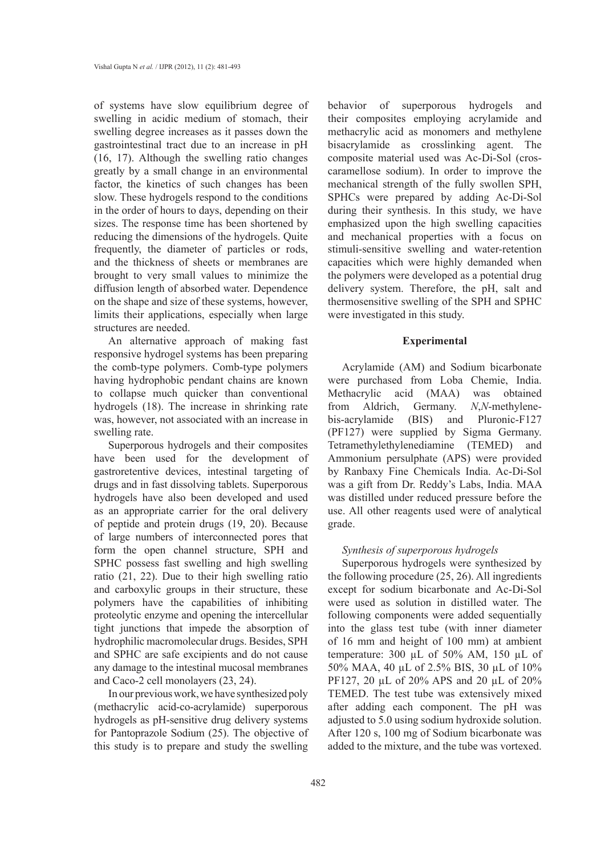of systems have slow equilibrium degree of swelling in acidic medium of stomach, their swelling degree increases as it passes down the gastrointestinal tract due to an increase in pH (16, 17). Although the swelling ratio changes greatly by a small change in an environmental factor, the kinetics of such changes has been slow. These hydrogels respond to the conditions in the order of hours to days, depending on their sizes. The response time has been shortened by reducing the dimensions of the hydrogels. Quite frequently, the diameter of particles or rods, and the thickness of sheets or membranes are brought to very small values to minimize the diffusion length of absorbed water. Dependence on the shape and size of these systems, however, limits their applications, especially when large structures are needed.

An alternative approach of making fast responsive hydrogel systems has been preparing the comb-type polymers. Comb-type polymers having hydrophobic pendant chains are known to collapse much quicker than conventional hydrogels (18). The increase in shrinking rate was, however, not associated with an increase in swelling rate.

Superporous hydrogels and their composites have been used for the development of gastroretentive devices, intestinal targeting of drugs and in fast dissolving tablets. Superporous hydrogels have also been developed and used as an appropriate carrier for the oral delivery of peptide and protein drugs (19, 20). Because of large numbers of interconnected pores that form the open channel structure, SPH and SPHC possess fast swelling and high swelling ratio (21, 22). Due to their high swelling ratio and carboxylic groups in their structure, these polymers have the capabilities of inhibiting proteolytic enzyme and opening the intercellular tight junctions that impede the absorption of hydrophilic macromolecular drugs. Besides, SPH and SPHC are safe excipients and do not cause any damage to the intestinal mucosal membranes and Caco-2 cell monolayers (23, 24).

In our previous work, we have synthesized poly (methacrylic acid-co-acrylamide) superporous hydrogels as pH-sensitive drug delivery systems for Pantoprazole Sodium (25). The objective of this study is to prepare and study the swelling behavior of superporous hydrogels and their composites employing acrylamide and methacrylic acid as monomers and methylene bisacrylamide as crosslinking agent. The composite material used was Ac-Di-Sol (croscaramellose sodium). In order to improve the mechanical strength of the fully swollen SPH, SPHCs were prepared by adding Ac-Di-Sol during their synthesis. In this study, we have emphasized upon the high swelling capacities and mechanical properties with a focus on stimuli-sensitive swelling and water-retention capacities which were highly demanded when the polymers were developed as a potential drug delivery system. Therefore, the pH, salt and thermosensitive swelling of the SPH and SPHC were investigated in this study.

## **Experimental**

Acrylamide (AM) and Sodium bicarbonate were purchased from Loba Chemie, India. Methacrylic acid (MAA) was obtained from Aldrich, Germany. *N*,*N*-methylenebis-acrylamide (BIS) and Pluronic-F127 (PF127) were supplied by Sigma Germany. Tetramethylethylenediamine (TEMED) and Ammonium persulphate (APS) were provided by Ranbaxy Fine Chemicals India. Ac-Di-Sol was a gift from Dr. Reddy's Labs, India. MAA was distilled under reduced pressure before the use. All other reagents used were of analytical grade.

#### *Synthesis of superporous hydrogels*

Superporous hydrogels were synthesized by the following procedure (25, 26). All ingredients except for sodium bicarbonate and Ac-Di-Sol were used as solution in distilled water. The following components were added sequentially into the glass test tube (with inner diameter of 16 mm and height of 100 mm) at ambient temperature: 300 µL of 50% AM, 150 µL of 50% MAA, 40 µL of 2.5% BIS, 30 µL of 10% PF127, 20 µL of 20% APS and 20 µL of 20% TEMED. The test tube was extensively mixed after adding each component. The pH was adjusted to 5.0 using sodium hydroxide solution. After 120 s, 100 mg of Sodium bicarbonate was added to the mixture, and the tube was vortexed.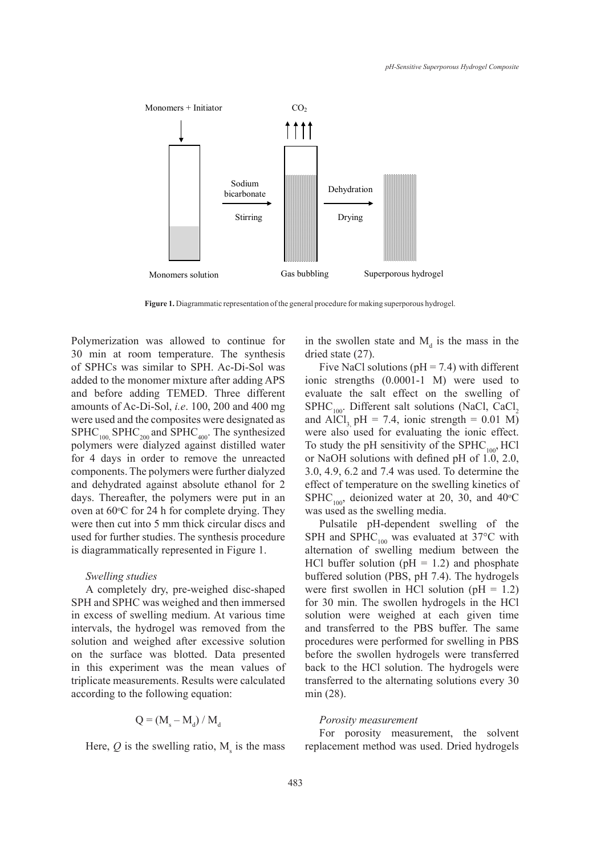

**Figure 1.** Diagrammatic representation of the general procedure for making superporous hydrogel.

Polymerization was allowed to continue for 30 min at room temperature. The synthesis of SPHCs was similar to SPH. Ac-Di-Sol was added to the monomer mixture after adding APS and before adding TEMED. Three different amounts of Ac-Di-Sol, *i.e*. 100, 200 and 400 mg were used and the composites were designated as  $SPHC<sub>100</sub>$ ,  $SPHC<sub>200</sub>$  and  $SPHC<sub>400</sub>$ . The synthesized polymers were dialyzed against distilled water for 4 days in order to remove the unreacted components. The polymers were further dialyzed and dehydrated against absolute ethanol for 2 days. Thereafter, the polymers were put in an oven at  $60^{\circ}$ C for 24 h for complete drying. They were then cut into 5 mm thick circular discs and used for further studies. The synthesis procedure is diagrammatically represented in Figure 1.

#### *Swelling studies*

A completely dry, pre-weighed disc-shaped SPH and SPHC was weighed and then immersed in excess of swelling medium. At various time intervals, the hydrogel was removed from the solution and weighed after excessive solution on the surface was blotted. Data presented in this experiment was the mean values of triplicate measurements. Results were calculated according to the following equation:

$$
Q = (M_s - M_d) / M_d
$$

Here,  $Q$  is the swelling ratio,  $M_s$  is the mass

in the swollen state and  $M_d$  is the mass in the dried state (27).

Five NaCl solutions ( $pH = 7.4$ ) with different ionic strengths (0.0001-1 M) were used to evaluate the salt effect on the swelling of  $SHIC_{100}$ . Different salt solutions (NaCl, CaCl<sub>2</sub> and AlCl<sub>3</sub> pH = 7.4, ionic strength =  $0.01$  M) were also used for evaluating the ionic effect. To study the pH sensitivity of the  $SPHC_{100}$ , HCl or NaOH solutions with defined pH of 1.0, 2.0, 3.0, 4.9, 6.2 and 7.4 was used. To determine the effect of temperature on the swelling kinetics of SPHC<sub>100</sub>, deionized water at 20, 30, and 40<sup>o</sup>C was used as the swelling media.

Pulsatile pH-dependent swelling of the SPH and SPHC<sub>100</sub> was evaluated at  $37^{\circ}$ C with alternation of swelling medium between the HCl buffer solution ( $pH = 1.2$ ) and phosphate buffered solution (PBS, pH 7.4). The hydrogels were first swollen in HCl solution ( $pH = 1.2$ ) for 30 min. The swollen hydrogels in the HCl solution were weighed at each given time and transferred to the PBS buffer. The same procedures were performed for swelling in PBS before the swollen hydrogels were transferred back to the HCl solution. The hydrogels were transferred to the alternating solutions every 30 min (28).

#### *Porosity measurement*

For porosity measurement, the solvent replacement method was used. Dried hydrogels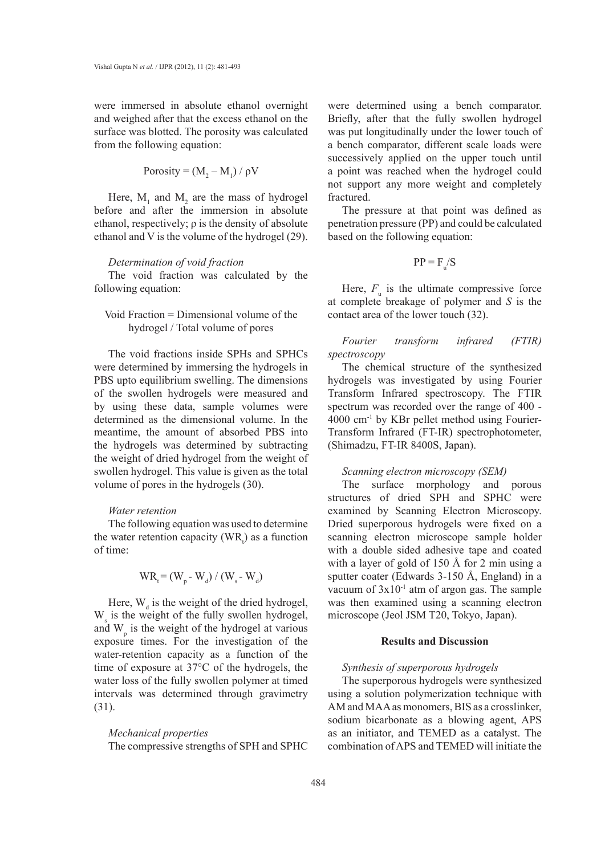were immersed in absolute ethanol overnight and weighed after that the excess ethanol on the surface was blotted. The porosity was calculated from the following equation:

$$
Porosity = (M_2 - M_1) / \rho V
$$

Here,  $M_1$  and  $M_2$  are the mass of hydrogel before and after the immersion in absolute ethanol, respectively;  $\rho$  is the density of absolute ethanol and V is the volume of the hydrogel (29).

#### *Determination of void fraction*

The void fraction was calculated by the following equation:

# Void Fraction = Dimensional volume of the hydrogel / Total volume of pores

The void fractions inside SPHs and SPHCs were determined by immersing the hydrogels in PBS upto equilibrium swelling. The dimensions of the swollen hydrogels were measured and by using these data, sample volumes were determined as the dimensional volume. In the meantime, the amount of absorbed PBS into the hydrogels was determined by subtracting the weight of dried hydrogel from the weight of swollen hydrogel. This value is given as the total volume of pores in the hydrogels (30).

## *Water retention*

The following equation was used to determine the water retention capacity ( $WR$ <sub>c</sub>) as a function of time:

$$
WR_t = (W_p - W_d) / (W_s - W_d)
$$

Here,  $W_d$  is the weight of the dried hydrogel,  $W_s$  is the weight of the fully swollen hydrogel, and  $W_p$  is the weight of the hydrogel at various exposure times. For the investigation of the water-retention capacity as a function of the time of exposure at 37°C of the hydrogels, the water loss of the fully swollen polymer at timed intervals was determined through gravimetry (31).

## *Mechanical properties*

The compressive strengths of SPH and SPHC

were determined using a bench comparator. Briefly, after that the fully swollen hydrogel was put longitudinally under the lower touch of a bench comparator, different scale loads were successively applied on the upper touch until a point was reached when the hydrogel could not support any more weight and completely fractured.

The pressure at that point was defined as penetration pressure (PP) and could be calculated based on the following equation:

$$
PP = F_{u}/S
$$

Here,  $F_{\rm u}$  is the ultimate compressive force at complete breakage of polymer and *S* is the contact area of the lower touch (32).

*Fourier transform infrared (FTIR) spectroscopy*

The chemical structure of the synthesized hydrogels was investigated by using Fourier Transform Infrared spectroscopy. The FTIR spectrum was recorded over the range of 400 - 4000 cm-1 by KBr pellet method using Fourier-Transform Infrared (FT-IR) spectrophotometer, (Shimadzu, FT-IR 8400S, Japan).

## *Scanning electron microscopy (SEM)*

The surface morphology and porous structures of dried SPH and SPHC were examined by Scanning Electron Microscopy. Dried superporous hydrogels were fixed on a scanning electron microscope sample holder with a double sided adhesive tape and coated with a layer of gold of 150 Å for 2 min using a sputter coater (Edwards 3-150 Å, England) in a vacuum of  $3x10^{-1}$  atm of argon gas. The sample was then examined using a scanning electron microscope (Jeol JSM T20, Tokyo, Japan).

## **Results and Discussion**

#### *Synthesis of superporous hydrogels*

The superporous hydrogels were synthesized using a solution polymerization technique with AM and MAA as monomers, BIS as a crosslinker, sodium bicarbonate as a blowing agent, APS as an initiator, and TEMED as a catalyst. The combination of APS and TEMED will initiate the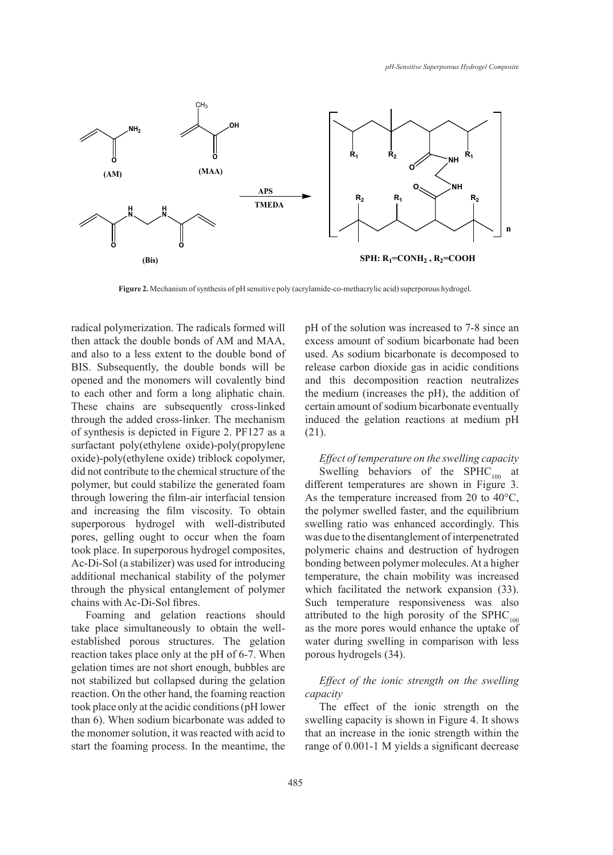

**Figure 2.** Mechanism of synthesis of pH sensitive poly (acrylamide-co-methacrylic acid) superporous hydrogel.

radical polymerization. The radicals formed will then attack the double bonds of AM and MAA, and also to a less extent to the double bond of BIS. Subsequently, the double bonds will be opened and the monomers will covalently bind to each other and form a long aliphatic chain. These chains are subsequently cross-linked through the added cross-linker. The mechanism of synthesis is depicted in Figure 2. PF127 as a surfactant poly(ethylene oxide)-poly(propylene oxide)-poly(ethylene oxide) triblock copolymer, did not contribute to the chemical structure of the polymer, but could stabilize the generated foam through lowering the film-air interfacial tension and increasing the film viscosity. To obtain superporous hydrogel with well-distributed pores, gelling ought to occur when the foam took place. In superporous hydrogel composites, Ac-Di-Sol (a stabilizer) was used for introducing additional mechanical stability of the polymer through the physical entanglement of polymer chains with Ac-Di-Sol fibres.

Foaming and gelation reactions should take place simultaneously to obtain the wellestablished porous structures. The gelation reaction takes place only at the pH of 6-7. When gelation times are not short enough, bubbles are not stabilized but collapsed during the gelation reaction. On the other hand, the foaming reaction took place only at the acidic conditions (pH lower than 6). When sodium bicarbonate was added to the monomer solution, it was reacted with acid to start the foaming process. In the meantime, the pH of the solution was increased to 7-8 since an excess amount of sodium bicarbonate had been used. As sodium bicarbonate is decomposed to release carbon dioxide gas in acidic conditions and this decomposition reaction neutralizes the medium (increases the pH), the addition of certain amount of sodium bicarbonate eventually induced the gelation reactions at medium pH (21).

*Effect of temperature on the swelling capacity* Swelling behaviors of the SPHC $_{100}$  at different temperatures are shown in Figure 3. As the temperature increased from 20 to 40°C, the polymer swelled faster, and the equilibrium swelling ratio was enhanced accordingly. This was due to the disentanglement of interpenetrated polymeric chains and destruction of hydrogen bonding between polymer molecules. At a higher temperature, the chain mobility was increased which facilitated the network expansion (33). Such temperature responsiveness was also attributed to the high porosity of the  $SPHC_{100}$ as the more pores would enhance the uptake of water during swelling in comparison with less porous hydrogels (34).

## *Effect of the ionic strength on the swelling capacity*

The effect of the ionic strength on the swelling capacity is shown in Figure 4. It shows that an increase in the ionic strength within the range of 0.001-1 M yields a significant decrease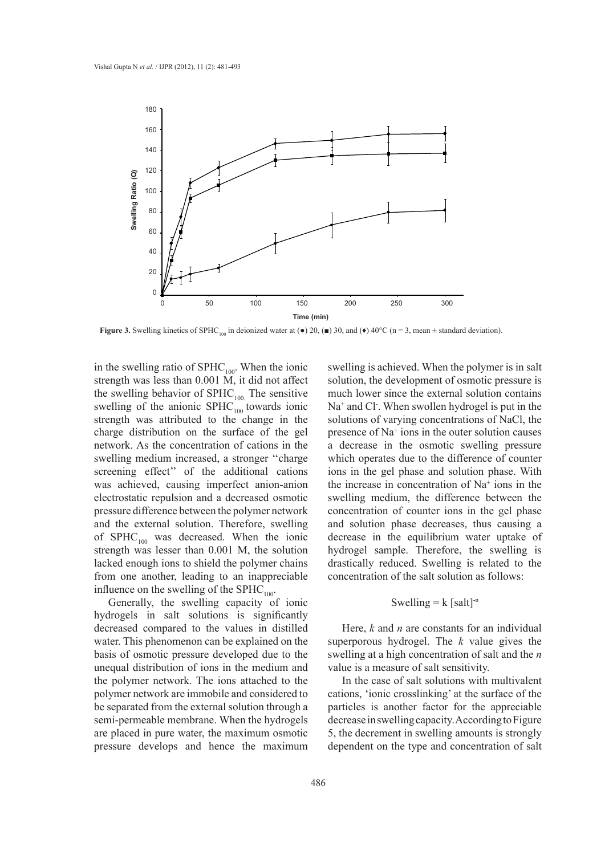

**Figure 3.** Swelling kinetics of SPHC<sub>100</sub> in deionized water at ( $\bullet$ ) 20, ( $\blacksquare$ ) 30, and ( $\bullet$ ) 40°C (n = 3, mean  $\pm$  standard deviation).

in the swelling ratio of  $SPHC_{100}$ . When the ionic strength was less than 0.001 M, it did not affect the swelling behavior of  $SPHC_{100}$ . The sensitive swelling of the anionic  $SPHC<sub>100</sub>$  towards ionic strength was attributed to the change in the charge distribution on the surface of the gel network. As the concentration of cations in the swelling medium increased, a stronger ''charge screening effect'' of the additional cations was achieved, causing imperfect anion-anion electrostatic repulsion and a decreased osmotic pressure difference between the polymer network and the external solution. Therefore, swelling of  $SPHC_{100}$  was decreased. When the ionic strength was lesser than 0.001 M, the solution lacked enough ions to shield the polymer chains from one another, leading to an inappreciable influence on the swelling of the  $SPHC_{100}$ .

Generally, the swelling capacity of ionic hydrogels in salt solutions is significantly decreased compared to the values in distilled water. This phenomenon can be explained on the basis of osmotic pressure developed due to the unequal distribution of ions in the medium and the polymer network. The ions attached to the polymer network are immobile and considered to be separated from the external solution through a semi-permeable membrane. When the hydrogels are placed in pure water, the maximum osmotic pressure develops and hence the maximum

swelling is achieved. When the polymer is in salt solution, the development of osmotic pressure is much lower since the external solution contains Na<sup>+</sup> and Cl<sup>-</sup>. When swollen hydrogel is put in the solutions of varying concentrations of NaCl, the presence of Na<sup>+</sup> ions in the outer solution causes a decrease in the osmotic swelling pressure which operates due to the difference of counter ions in the gel phase and solution phase. With the increase in concentration of Na+ ions in the swelling medium, the difference between the concentration of counter ions in the gel phase and solution phase decreases, thus causing a decrease in the equilibrium water uptake of hydrogel sample. Therefore, the swelling is drastically reduced. Swelling is related to the concentration of the salt solution as follows:

## Swelling =  $k$  [salt]<sup>-n</sup>

Here, *k* and *n* are constants for an individual superporous hydrogel. The *k* value gives the swelling at a high concentration of salt and the *n*  value is a measure of salt sensitivity.

In the case of salt solutions with multivalent cations, 'ionic crosslinking' at the surface of the particles is another factor for the appreciable decrease in swelling capacity. According to Figure 5, the decrement in swelling amounts is strongly dependent on the type and concentration of salt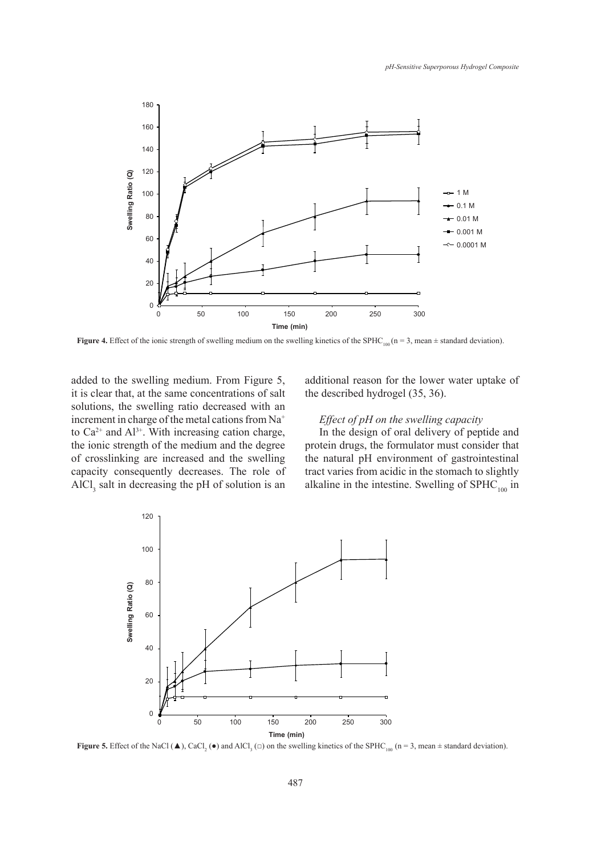

**Figure 4.** Effect of the ionic strength of swelling medium on the swelling kinetics of the SPHC<sub>100</sub> (n = 3, mean  $\pm$  standard deviation).

added to the swelling medium. From Figure 5, it is clear that, at the same concentrations of salt solutions, the swelling ratio decreased with an increment in charge of the metal cations from Na<sup>+</sup> to  $Ca^{2+}$  and  $Al^{3+}$ . With increasing cation charge, the ionic strength of the medium and the degree of crosslinking are increased and the swelling capacity consequently decreases. The role of  $AICI<sub>3</sub>$  salt in decreasing the pH of solution is an additional reason for the lower water uptake of the described hydrogel (35, 36).

# *Effect of pH on the swelling capacity*

In the design of oral delivery of peptide and protein drugs, the formulator must consider that the natural pH environment of gastrointestinal tract varies from acidic in the stomach to slightly alkaline in the intestine. Swelling of  $SPHC_{100}$  in



**Figure 5.** Effect of the NaCl ( $\triangle$ ), CaCl<sub>2</sub> ( $\bullet$ ) and AlCl<sub>3</sub> ( $\Box$ ) on the swelling kinetics of the SPHC<sub>100</sub> ( $n = 3$ , mean  $\pm$  standard deviation).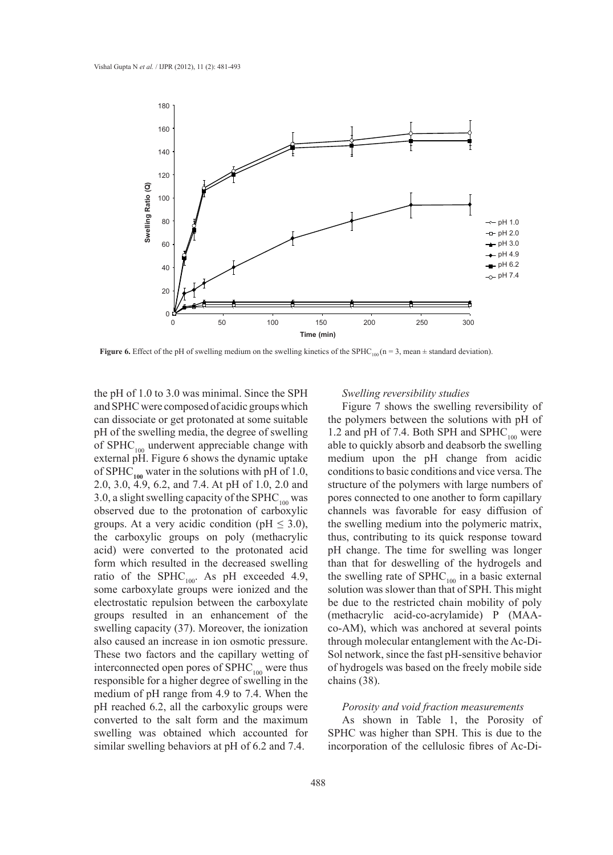

**Figure 6.** Effect of the pH of swelling medium on the swelling kinetics of the SPHC<sub>100</sub> (n = 3, mean  $\pm$  standard deviation).

the pH of 1.0 to 3.0 was minimal. Since the SPH and SPHC were composed of acidic groups which can dissociate or get protonated at some suitable pH of the swelling media, the degree of swelling of  $SPHC_{100}$  underwent appreciable change with external pH. Figure 6 shows the dynamic uptake of SPHC<sub>100</sub> water in the solutions with pH of 1.0, 2.0, 3.0, 4.9, 6.2, and 7.4. At pH of 1.0, 2.0 and 3.0, a slight swelling capacity of the SPHC $_{100}$  was observed due to the protonation of carboxylic groups. At a very acidic condition (pH  $\leq$  3.0), the carboxylic groups on poly (methacrylic acid) were converted to the protonated acid form which resulted in the decreased swelling ratio of the SPHC<sub>100</sub>. As pH exceeded 4.9, some carboxylate groups were ionized and the electrostatic repulsion between the carboxylate groups resulted in an enhancement of the swelling capacity (37). Moreover, the ionization also caused an increase in ion osmotic pressure. These two factors and the capillary wetting of interconnected open pores of  $SPHC_{100}$  were thus responsible for a higher degree of swelling in the medium of pH range from 4.9 to 7.4. When the pH reached 6.2, all the carboxylic groups were converted to the salt form and the maximum swelling was obtained which accounted for similar swelling behaviors at pH of 6.2 and 7.4.

#### *Swelling reversibility studies*

Figure 7 shows the swelling reversibility of the polymers between the solutions with pH of 1.2 and pH of 7.4. Both SPH and  $SPHC_{100}$  were able to quickly absorb and deabsorb the swelling medium upon the pH change from acidic conditions to basic conditions and vice versa. The structure of the polymers with large numbers of pores connected to one another to form capillary channels was favorable for easy diffusion of the swelling medium into the polymeric matrix, thus, contributing to its quick response toward pH change. The time for swelling was longer than that for deswelling of the hydrogels and the swelling rate of  $SPHC_{100}$  in a basic external solution was slower than that of SPH. This might be due to the restricted chain mobility of poly (methacrylic acid-co-acrylamide) P (MAAco-AM), which was anchored at several points through molecular entanglement with the Ac-Di-Sol network, since the fast pH-sensitive behavior of hydrogels was based on the freely mobile side chains (38).

## *Porosity and void fraction measurements*

As shown in Table 1, the Porosity of SPHC was higher than SPH. This is due to the incorporation of the cellulosic fibres of Ac-Di-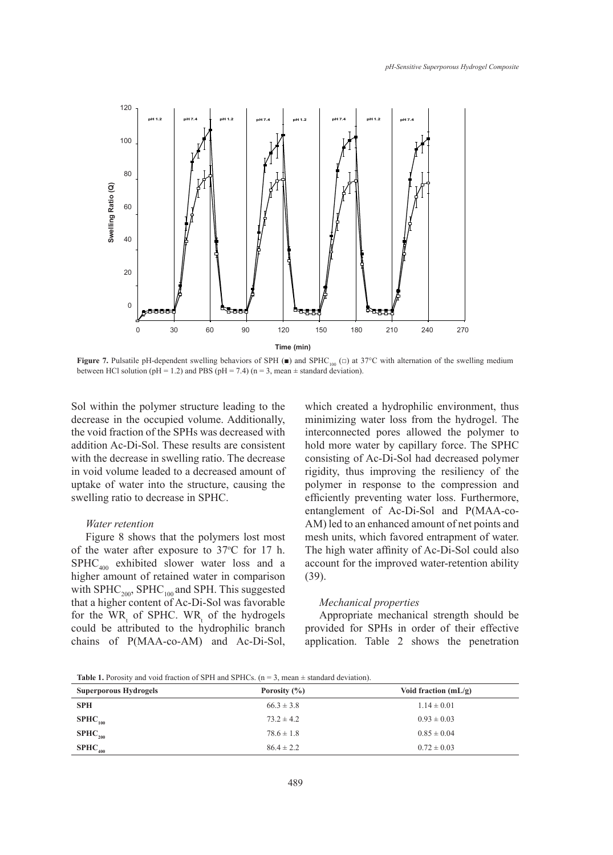

**Figure 7.** Pulsatile pH-dependent swelling behaviors of SPH ( $\blacksquare$ ) and SPHC<sub>100</sub> ( $\Box$ ) at 37°C with alternation of the swelling medium between HCl solution (pH = 1.2) and PBS (pH = 7.4) (n = 3, mean  $\pm$  standard deviation).

Sol within the polymer structure leading to the decrease in the occupied volume. Additionally, the void fraction of the SPHs was decreased with addition Ac-Di-Sol. These results are consistent with the decrease in swelling ratio. The decrease in void volume leaded to a decreased amount of uptake of water into the structure, causing the swelling ratio to decrease in SPHC.

#### *Water retention*

Figure 8 shows that the polymers lost most of the water after exposure to 37°C for 17 h.  $SPHC_{400}$  exhibited slower water loss and a higher amount of retained water in comparison with  $SPHC_{200}$ ,  $SPHC_{100}$  and SPH. This suggested that a higher content of Ac-Di-Sol was favorable for the  $WR_{t}$  of SPHC. WR<sub>t</sub> of the hydrogels could be attributed to the hydrophilic branch chains of P(MAA-co-AM) and Ac-Di-Sol,

which created a hydrophilic environment, thus minimizing water loss from the hydrogel. The interconnected pores allowed the polymer to hold more water by capillary force. The SPHC consisting of Ac-Di-Sol had decreased polymer rigidity, thus improving the resiliency of the polymer in response to the compression and efficiently preventing water loss. Furthermore, entanglement of Ac-Di-Sol and P(MAA-co-AM) led to an enhanced amount of net points and mesh units, which favored entrapment of water. The high water affinity of Ac-Di-Sol could also account for the improved water-retention ability (39).

#### *Mechanical properties*

Appropriate mechanical strength should be provided for SPHs in order of their effective application. Table 2 shows the penetration

**Table 1.** Porosity and void fraction of SPH and SPHCs.  $(n = 3 \text{ mean} \pm \text{ standard deviation})$ .

| <b>Superporous Hydrogels</b> | Porosity $(\% )$ | Void fraction $(mL/g)$ |
|------------------------------|------------------|------------------------|
| <b>SPH</b>                   | $66.3 \pm 3.8$   | $1.14 \pm 0.01$        |
| $SPHC_{100}$                 | $73.2 \pm 4.2$   | $0.93 \pm 0.03$        |
| $SPHC_{200}$                 | $78.6 \pm 1.8$   | $0.85 \pm 0.04$        |
| $SPHC_{400}$                 | $86.4 \pm 2.2$   | $0.72 \pm 0.03$        |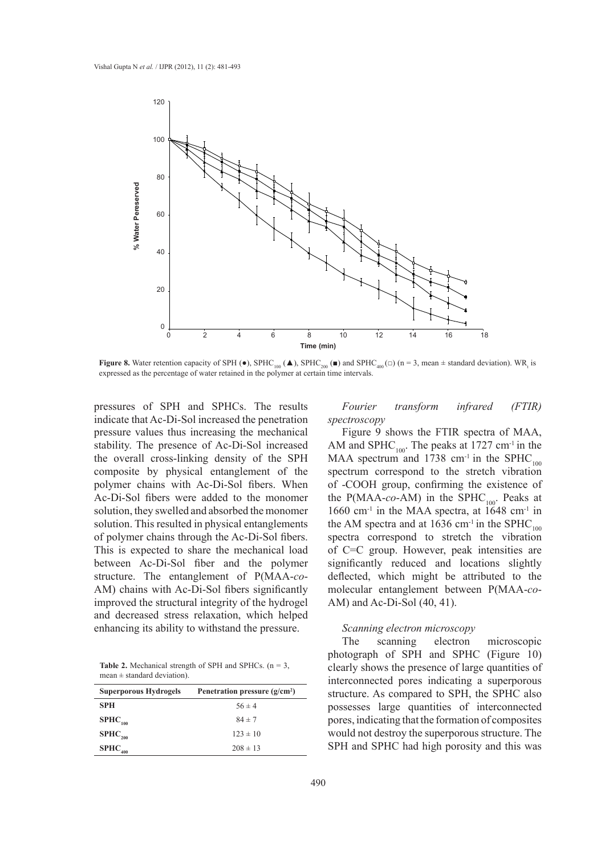

**Figure 8.** Water retention capacity of SPH ( $\bullet$ ), SPHC<sub>100</sub> ( $\bullet$ ), SPHC<sub>200</sub> ( $\bullet$ ) and SPHC<sub>400</sub> ( $\Box$ ) (n = 3, mean  $\pm$  standard deviation). WR<sub>t</sub> is expressed as the percentage of water retained in the polymer at certain time intervals.

pressures of SPH and SPHCs. The results indicate that Ac-Di-Sol increased the penetration pressure values thus increasing the mechanical stability. The presence of Ac-Di-Sol increased the overall cross-linking density of the SPH composite by physical entanglement of the polymer chains with Ac-Di-Sol fibers. When Ac-Di-Sol fibers were added to the monomer solution, they swelled and absorbed the monomer solution. This resulted in physical entanglements of polymer chains through the Ac-Di-Sol fibers. This is expected to share the mechanical load between Ac-Di-Sol fiber and the polymer structure. The entanglement of P(MAA-*co*-AM) chains with Ac-Di-Sol fibers significantly improved the structural integrity of the hydrogel and decreased stress relaxation, which helped enhancing its ability to withstand the pressure.

**Table 2.** Mechanical strength of SPH and SPHCs.  $(n = 3)$ ,  $mean \pm standard deviation$ .

| <b>Superporous Hydrogels</b> | Penetration pressure $(g/cm2)$ |
|------------------------------|--------------------------------|
| <b>SPH</b>                   | $56 \pm 4$                     |
| $SPHC_{100}$                 | $84 \pm 7$                     |
| $SPHC_{200}$                 | $123 \pm 10$                   |
| $SPHC_{400}$                 | $208 \pm 13$                   |

*Fourier transform infrared (FTIR) spectroscopy*

Figure 9 shows the FTIR spectra of MAA, AM and SPHC<sub>100</sub>. The peaks at  $1727 \text{ cm}^{-1}$  in the MAA spectrum and 1738 cm<sup>-1</sup> in the SPHC<sub>100</sub> spectrum correspond to the stretch vibration of -COOH group, confirming the existence of the P(MAA- $co$ -AM) in the SPHC<sub>100</sub>. Peaks at 1660 cm<sup>-1</sup> in the MAA spectra, at  $1648$  cm<sup>-1</sup> in the AM spectra and at 1636 cm<sup>-1</sup> in the SPHC<sub>100</sub> spectra correspond to stretch the vibration of C=C group. However, peak intensities are significantly reduced and locations slightly deflected, which might be attributed to the molecular entanglement between P(MAA-*co*-AM) and Ac-Di-Sol (40, 41).

## *Scanning electron microscopy*

The scanning electron microscopic photograph of SPH and SPHC (Figure 10) clearly shows the presence of large quantities of interconnected pores indicating a superporous structure. As compared to SPH, the SPHC also possesses large quantities of interconnected pores, indicating that the formation of composites would not destroy the superporous structure. The SPH and SPHC had high porosity and this was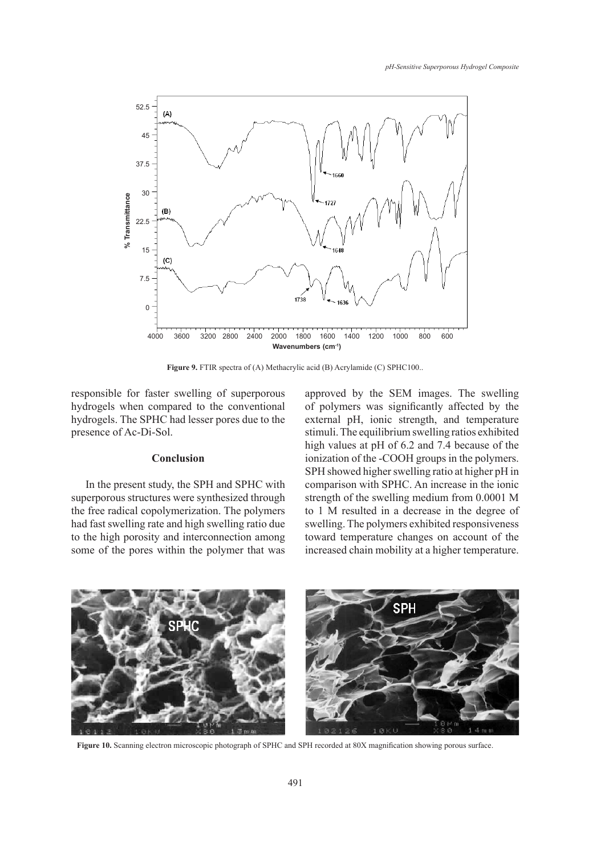

Figure 9. FTIR spectra of (A) Methacrylic acid (B) Acrylamide (C) SPHC100..

responsible for faster swelling of superporous hydrogels when compared to the conventional hydrogels. The SPHC had lesser pores due to the presence of Ac-Di-Sol.

#### **Conclusion**

In the present study, the SPH and SPHC with superporous structures were synthesized through the free radical copolymerization. The polymers had fast swelling rate and high swelling ratio due to the high porosity and interconnection among some of the pores within the polymer that was approved by the SEM images. The swelling of polymers was significantly affected by the external pH, ionic strength, and temperature stimuli. The equilibrium swelling ratios exhibited high values at pH of 6.2 and 7.4 because of the ionization of the -COOH groups in the polymers. SPH showed higher swelling ratio at higher pH in comparison with SPHC. An increase in the ionic strength of the swelling medium from 0.0001 M to 1 M resulted in a decrease in the degree of swelling. The polymers exhibited responsiveness toward temperature changes on account of the increased chain mobility at a higher temperature.



**Figure 10.** Scanning electron microscopic photograph of SPHC and SPH recorded at 80X magnification showing porous surface.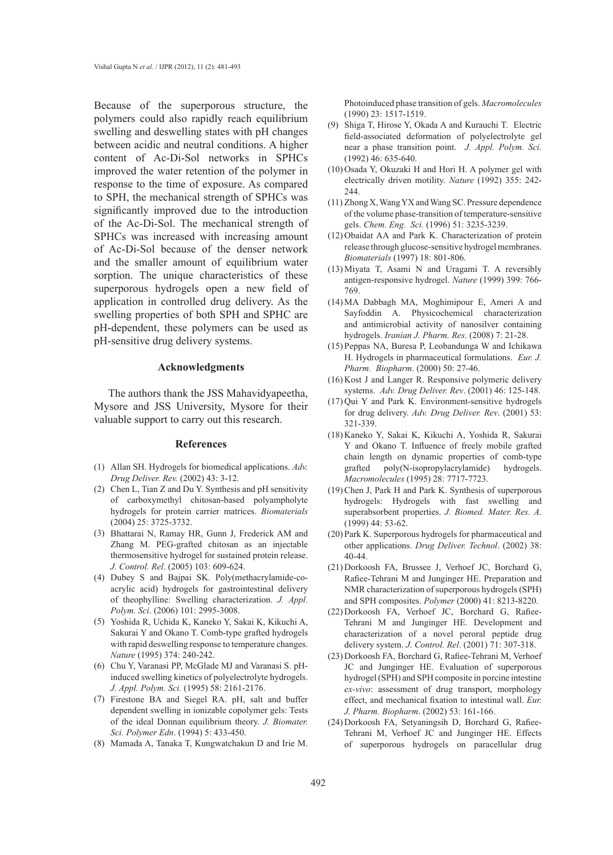Because of the superporous structure, the polymers could also rapidly reach equilibrium swelling and deswelling states with pH changes between acidic and neutral conditions. A higher content of Ac-Di-Sol networks in SPHCs improved the water retention of the polymer in response to the time of exposure. As compared to SPH, the mechanical strength of SPHCs was significantly improved due to the introduction of the Ac-Di-Sol. The mechanical strength of SPHCs was increased with increasing amount of Ac-Di-Sol because of the denser network and the smaller amount of equilibrium water sorption. The unique characteristics of these superporous hydrogels open a new field of application in controlled drug delivery. As the swelling properties of both SPH and SPHC are pH-dependent, these polymers can be used as pH-sensitive drug delivery systems.

#### **Acknowledgments**

The authors thank the JSS Mahavidyapeetha, Mysore and JSS University, Mysore for their valuable support to carry out this research.

#### **References**

- Allan SH. Hydrogels for biomedical applications. *Adv.*  (1) *Drug Deliver. Rev.* (2002) 43: 3-12.
- (2) Chen L, Tian Z and Du Y. Synthesis and pH sensitivity of carboxymethyl chitosan-based polyampholyte hydrogels for protein carrier matrices. *Biomaterials* (2004) 25: 3725-3732.
- (3) Bhattarai N, Ramay HR, Gunn J, Frederick AM and Zhang M. PEG-grafted chitosan as an injectable thermosensitive hydrogel for sustained protein release. *J. Control. Rel*. (2005) 103: 609-624.
- Dubey S and Bajpai SK. Poly(methacrylamide-co-(4) acrylic acid) hydrogels for gastrointestinal delivery of theophylline: Swelling characterization. *J. Appl. Polym. Sci*. (2006) 101: 2995-3008.
- Yoshida R, Uchida K, Kaneko Y, Sakai K, Kikuchi A, (5) Sakurai Y and Okano T. Comb-type grafted hydrogels with rapid deswelling response to temperature changes. *Nature* (1995) 374: 240-242.
- Chu Y, Varanasi PP, McGlade MJ and Varanasi S. pH-(6) induced swelling kinetics of polyelectrolyte hydrogels. *J. Appl. Polym. Sci.* (1995) 58: 2161-2176.
- (7) Firestone BA and Siegel RA. pH, salt and buffer dependent swelling in ionizable copolymer gels: Tests of the ideal Donnan equilibrium theory. *J. Biomater. Sci. Polymer Edn*. (1994) 5: 433-450.
- Mamada A, Tanaka T, Kungwatchakun D and Irie M. (8)

Photoinduced phase transition of gels. *Macromolecules*  (1990) 23: 1517-1519.

- (9) Shiga T, Hirose Y, Okada A and Kurauchi T. Electric field-associated deformation of polyelectrolyte gel near a phase transition point. *J. Appl. Polym. Sci.*  (1992) 46: 635-640.
- $(10)$  Osada Y, Okuzaki H and Hori H. A polymer gel with electrically driven motility. *Nature* (1992) 355: 242- 244.
- $(11)$  Zhong X, Wang YX and Wang SC. Pressure dependence of the volume phase-transition of temperature-sensitive gels. *Chem. Eng. Sci.* (1996) 51: 3235-3239.
- $(12)$  Obaidat AA and Park K. Characterization of protein release through glucose-sensitive hydrogel membranes. *Biomaterials* (1997) 18: 801-806.
- $(13)$  Miyata T, Asami N and Uragami T. A reversibly antigen-responsive hydrogel. *Nature* (1999) 399: 766- 769.
- MA Dabbagh MA, Moghimipour E, Ameri A and (14) Sayfoddin A. Physicochemical characterization and antimicrobial activity of nanosilver containing hydrogels. *Iranian J. Pharm. Res*. (2008) 7: 21-28.
- (15) Peppas NA, Buresa P, Leobandunga W and Ichikawa H. Hydrogels in pharmaceutical formulations. *Eur. J. Pharm. Biopharm*. (2000) 50: 27-46.
- $(16)$  Kost J and Langer R. Responsive polymeric delivery systems. *Adv. Drug Deliver. Rev*. (2001) 46: 125-148.
- $(17)$  Qui Y and Park K. Environment-sensitive hydrogels for drug delivery. *Adv. Drug Deliver. Rev*. (2001) 53: 321-339.
- (18) Kaneko Y, Sakai K, Kikuchi A, Yoshida R, Sakurai Y and Okano T. Influence of freely mobile grafted chain length on dynamic properties of comb-type grafted poly(N-isopropylacrylamide) hydrogels. *Macromolecules* (1995) 28: 7717-7723.
- $(19)$  Chen J, Park H and Park K. Synthesis of superporous hydrogels: Hydrogels with fast swelling and superabsorbent properties. *J. Biomed. Mater. Res. A*. (1999) 44: 53-62.
- (20) Park K. Superporous hydrogels for pharmaceutical and other applications. *Drug Deliver. Technol*. (2002) 38: 40-44.
- $(21)$  Dorkoosh FA, Brussee J, Verhoef JC, Borchard G, Rafiee-Tehrani M and Junginger HE. Preparation and NMR characterization of superporous hydrogels (SPH) and SPH composites. *Polymer* (2000) 41: 8213-8220.
- (22) Dorkoosh FA, Verhoef JC, Borchard G, Rafiee-Tehrani M and Junginger HE. Development and characterization of a novel peroral peptide drug delivery system. *J. Control. Rel*. (2001) 71: 307-318.
- (23) Dorkoosh FA, Borchard G, Rafiee-Tehrani M, Verhoef JC and Junginger HE. Evaluation of superporous hydrogel (SPH) and SPH composite in porcine intestine *ex-vivo*: assessment of drug transport, morphology effect, and mechanical fixation to intestinal wall. *Eur. J. Pharm. Biopharm*. (2002) 53: 161-166.
- (24) Dorkoosh FA, Setyaningsih D, Borchard G, Rafiee-Tehrani M, Verhoef JC and Junginger HE. Effects of superporous hydrogels on paracellular drug